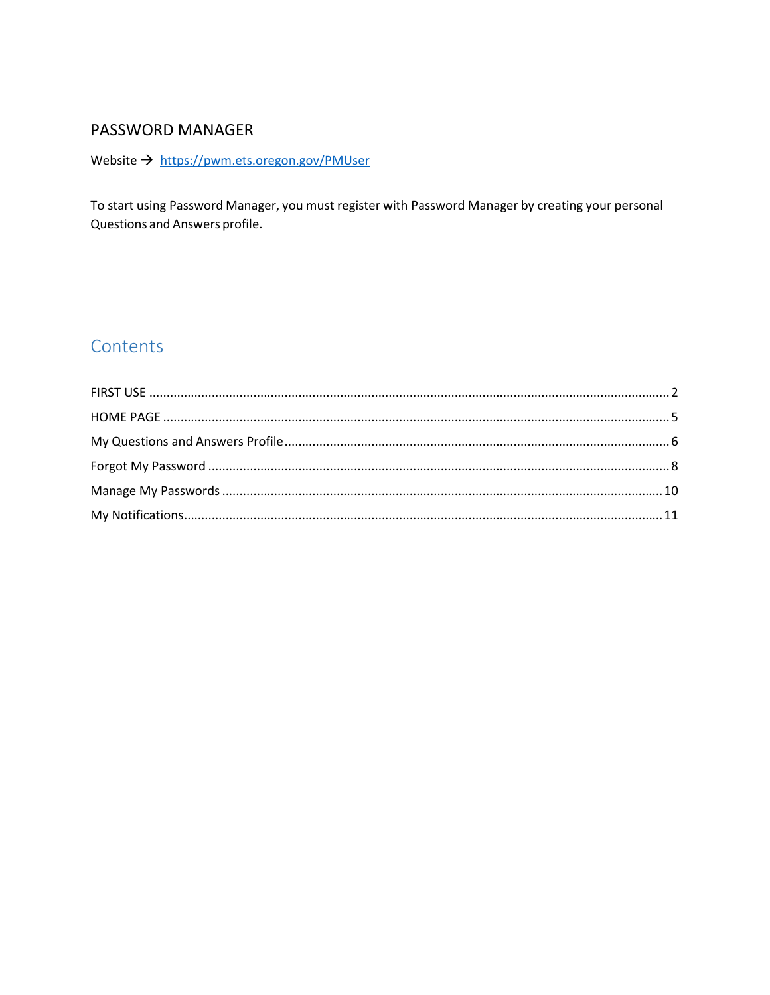### PASSWORD MANAGER

Website → https://pwm.ets.oregon.gov/PMUser

To start using Password Manager, you must register with Password Manager by creating your personal Questions and Answers profile.

### Contents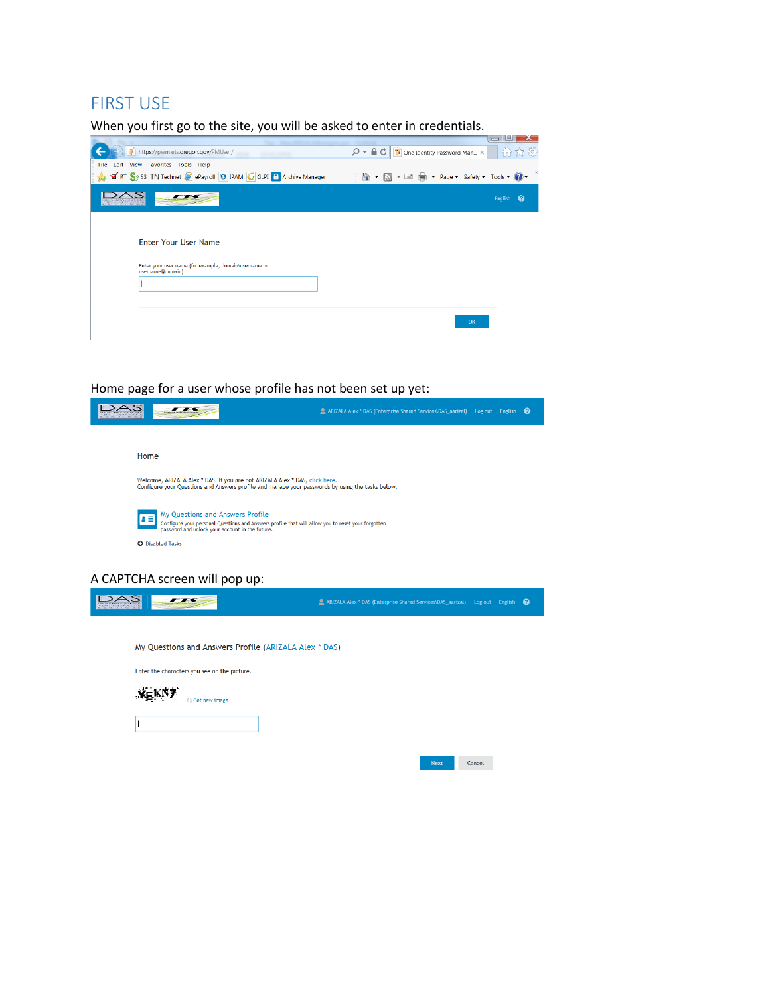### <span id="page-1-0"></span>FIRST USE

When you first go to the site, you will be asked to enter in credentials.

|             |                                                                                                          |                                                                                                                                        | ا تصا   | $\sim$ |
|-------------|----------------------------------------------------------------------------------------------------------|----------------------------------------------------------------------------------------------------------------------------------------|---------|--------|
|             | https://pwm.ets.oregon.gov/PMUser/                                                                       | 自心<br>- م<br>One Identity Password Man X                                                                                               |         | 价大街    |
| <b>File</b> | Edit View Favorites Tools Help                                                                           |                                                                                                                                        |         |        |
| ₩           | <b>M</b> RT S <sub>2</sub> S3 TN Technet <b>C</b> ePayroll <b>H</b> IPAM G GLPI <b>B</b> Archive Manager | $\mathbf{v}$ = $\mathbf{v}$ = $\mathbf{v}$ + Page $\mathbf{v}$ Safety $\mathbf{v}$ Tools $\mathbf{v}$ +<br>$\mathbf{a}$ + $\mathbf{a}$ |         | ×      |
|             | $\overline{1}$                                                                                           |                                                                                                                                        | English | 0      |
|             |                                                                                                          |                                                                                                                                        |         |        |
|             | <b>Enter Your User Name</b>                                                                              |                                                                                                                                        |         |        |
|             | Enter your user name (for example, domain\username or<br>username@domain):                               |                                                                                                                                        |         |        |
|             |                                                                                                          |                                                                                                                                        |         |        |
|             |                                                                                                          |                                                                                                                                        |         |        |
|             |                                                                                                          | OK                                                                                                                                     |         |        |
|             |                                                                                                          |                                                                                                                                        |         |        |

Home page for a user whose profile has not been set up yet:

|                                                                                                                                                                                                       | ARIZALA Alex * DAS (Enterprise Shared Services\DAS_aarizal) Log out | English | റ |
|-------------------------------------------------------------------------------------------------------------------------------------------------------------------------------------------------------|---------------------------------------------------------------------|---------|---|
|                                                                                                                                                                                                       |                                                                     |         |   |
| Home                                                                                                                                                                                                  |                                                                     |         |   |
| Welcome, ARIZALA Alex * DAS. If you are not ARIZALA Alex * DAS, click here.<br>Configure your Questions and Answers profile and manage your passwords by using the tasks below.                       |                                                                     |         |   |
| My Questions and Answers Profile<br><b>AE</b><br>Configure your personal Questions and Answers profile that will allow you to reset your forgotten<br>password and unlock your account in the future. |                                                                     |         |   |
| <b>O</b> Disabled Tasks                                                                                                                                                                               |                                                                     |         |   |
| A CAPTCHA screen will pop up:                                                                                                                                                                         |                                                                     |         |   |
|                                                                                                                                                                                                       |                                                                     |         |   |
|                                                                                                                                                                                                       | ARIZALA Alex * DAS (Enterprise Shared Services\DAS_aarizal) Log out | English | ຨ |
|                                                                                                                                                                                                       |                                                                     |         |   |
| My Questions and Answers Profile (ARIZALA Alex * DAS)                                                                                                                                                 |                                                                     |         |   |
| Enter the characters you see on the picture.                                                                                                                                                          |                                                                     |         |   |
| <b>C</b> Get new image                                                                                                                                                                                |                                                                     |         |   |
|                                                                                                                                                                                                       |                                                                     |         |   |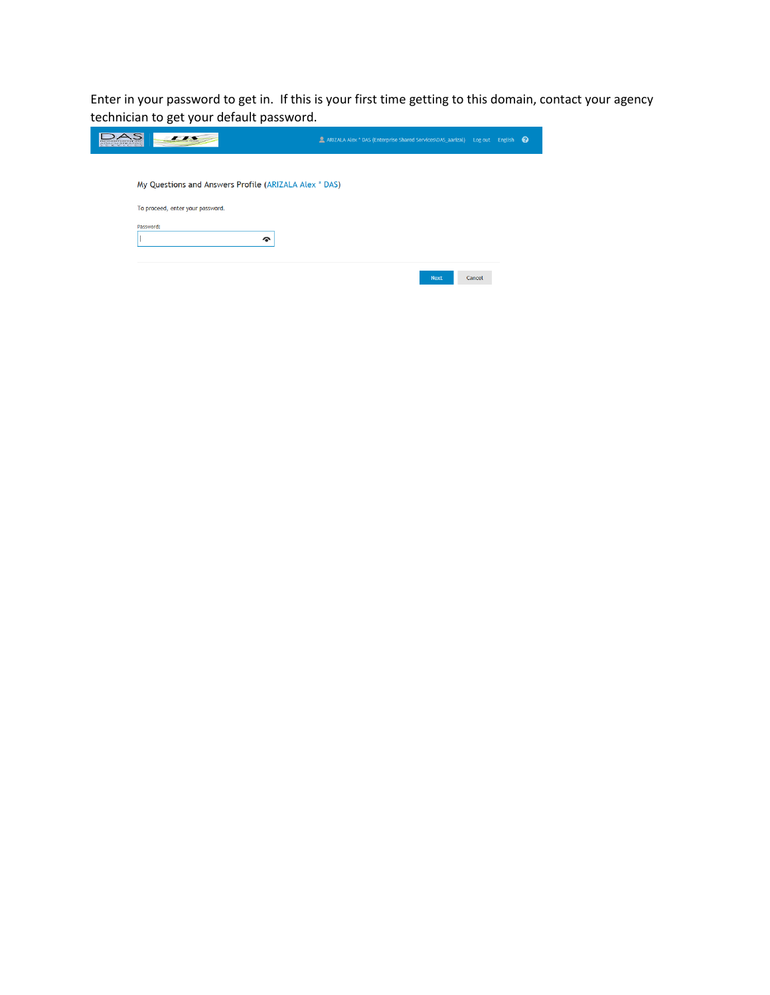Enter in your password to get in. If this is your first time getting to this domain, contact your agency technician to get your default password.

| <b>FIS</b>                                            | ARIZALA Alex * DAS (Enterprise Shared Services\DAS_aarizal) Log out English |        |  |
|-------------------------------------------------------|-----------------------------------------------------------------------------|--------|--|
|                                                       |                                                                             |        |  |
| My Questions and Answers Profile (ARIZALA Alex * DAS) |                                                                             |        |  |
| To proceed, enter your password.                      |                                                                             |        |  |
| Password:<br>$\bullet$                                |                                                                             |        |  |
|                                                       |                                                                             |        |  |
|                                                       | <b>Next</b>                                                                 | Cancel |  |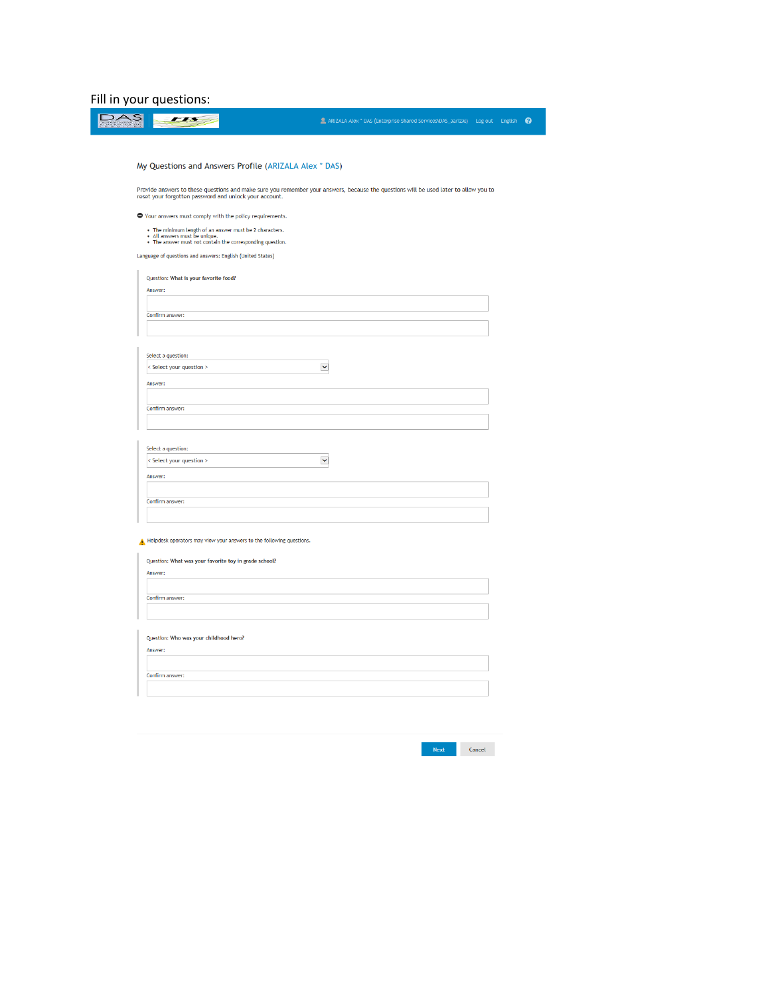### Fill in your questions:

|                                                                                                                                                       | ARIZALA Alex * DAS (Enterprise Shared Services\DAS_aarizal) Log out English ©                                                        |  |
|-------------------------------------------------------------------------------------------------------------------------------------------------------|--------------------------------------------------------------------------------------------------------------------------------------|--|
|                                                                                                                                                       |                                                                                                                                      |  |
| My Questions and Answers Profile (ARIZALA Alex * DAS)                                                                                                 |                                                                                                                                      |  |
| reset your forgotten password and unlock your account.                                                                                                | Provide answers to these questions and make sure you remember your answers, because the questions will be used later to allow you to |  |
| ● Your answers must comply with the policy requirements.                                                                                              |                                                                                                                                      |  |
| • The minimum length of an answer must be 2 characters.<br>• All answers must be unique.<br>. The answer must not contain the corresponding question. |                                                                                                                                      |  |
| Language of questions and answers: English (United States)                                                                                            |                                                                                                                                      |  |
| Question: What is your favorite food?                                                                                                                 |                                                                                                                                      |  |
| Answer:                                                                                                                                               |                                                                                                                                      |  |
| Confirm answer:                                                                                                                                       |                                                                                                                                      |  |
|                                                                                                                                                       |                                                                                                                                      |  |
|                                                                                                                                                       |                                                                                                                                      |  |
| Select a question:<br>< Select your question >                                                                                                        | $\checkmark$                                                                                                                         |  |
| Answer:                                                                                                                                               |                                                                                                                                      |  |
|                                                                                                                                                       |                                                                                                                                      |  |
| Confirm answer:                                                                                                                                       |                                                                                                                                      |  |
|                                                                                                                                                       |                                                                                                                                      |  |
| Select a question:                                                                                                                                    |                                                                                                                                      |  |
| < Select your question >                                                                                                                              | $\checkmark$                                                                                                                         |  |
| Answer:                                                                                                                                               |                                                                                                                                      |  |
|                                                                                                                                                       |                                                                                                                                      |  |
| Confirm answer:                                                                                                                                       |                                                                                                                                      |  |
|                                                                                                                                                       |                                                                                                                                      |  |
| Helpdesk operators may view your answers to the following questions.                                                                                  |                                                                                                                                      |  |
| Question: What was your favorite toy in grade school?                                                                                                 |                                                                                                                                      |  |
| Answer:                                                                                                                                               |                                                                                                                                      |  |
|                                                                                                                                                       |                                                                                                                                      |  |
| Confirm answer:                                                                                                                                       |                                                                                                                                      |  |
|                                                                                                                                                       |                                                                                                                                      |  |
| Question: Who was your childhood hero?                                                                                                                |                                                                                                                                      |  |
| Answer:                                                                                                                                               |                                                                                                                                      |  |
|                                                                                                                                                       |                                                                                                                                      |  |
| Confirm answer:                                                                                                                                       |                                                                                                                                      |  |
|                                                                                                                                                       |                                                                                                                                      |  |

**Example 2** Separate Cancel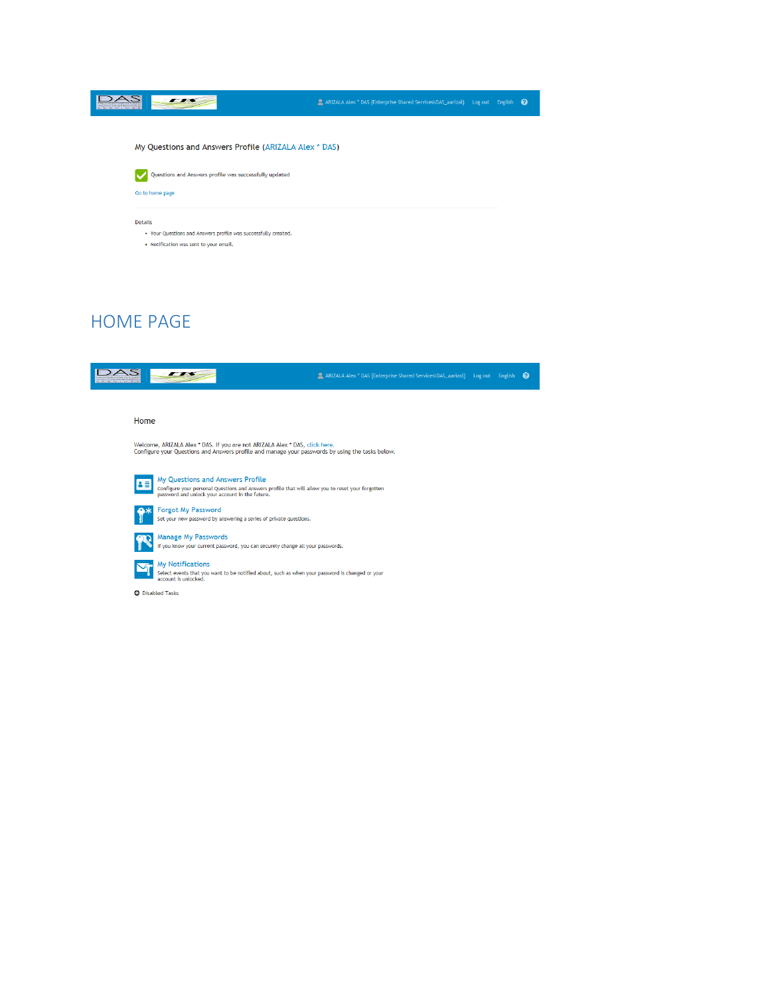| <b>ADMINISTRATIV</b> | <b>17. 17. 17. 17.</b>                                         | ARIZALA Alex * DAS (Enterprise Shared Services\DAS_aarizal) Log out English |  |  |
|----------------------|----------------------------------------------------------------|-----------------------------------------------------------------------------|--|--|
|                      |                                                                |                                                                             |  |  |
|                      | My Questions and Answers Profile (ARIZALA Alex * DAS)          |                                                                             |  |  |
|                      | Questions and Answers profile was successfully updated         |                                                                             |  |  |
|                      | Go to home page                                                |                                                                             |  |  |
|                      | <b>Details</b>                                                 |                                                                             |  |  |
|                      | • Your Questions and Answers profile was successfully created. |                                                                             |  |  |
|                      | • Notification was sent to your email.                         |                                                                             |  |  |

## <span id="page-4-0"></span>HOME PAGE

| Home<br>Welcome, ARIZALA Alex * DAS. If you are not ARIZALA Alex * DAS, click here.<br>Configure your Questions and Answers profile and manage your passwords by using the tasks below.<br>My Questions and Answers Profile<br>AΞ<br>Configure your personal Questions and Answers profile that will allow you to reset your forgotten<br>password and unlock your account in the future.<br>Forgot My Password<br>Set your new password by answering a series of private questions.<br><b>Manage My Passwords</b><br>If you know your current password, you can securely change all your passwords.<br><b>My Notifications</b><br>Select events that you want to be notified about, such as when your password is changed or your<br>account is unlocked. | ARIZALA Alex * DAS (Enterprise Shared Services\DAS_aarizal) Log out English @ |  |  |
|------------------------------------------------------------------------------------------------------------------------------------------------------------------------------------------------------------------------------------------------------------------------------------------------------------------------------------------------------------------------------------------------------------------------------------------------------------------------------------------------------------------------------------------------------------------------------------------------------------------------------------------------------------------------------------------------------------------------------------------------------------|-------------------------------------------------------------------------------|--|--|
|                                                                                                                                                                                                                                                                                                                                                                                                                                                                                                                                                                                                                                                                                                                                                            |                                                                               |  |  |
|                                                                                                                                                                                                                                                                                                                                                                                                                                                                                                                                                                                                                                                                                                                                                            |                                                                               |  |  |
|                                                                                                                                                                                                                                                                                                                                                                                                                                                                                                                                                                                                                                                                                                                                                            |                                                                               |  |  |
|                                                                                                                                                                                                                                                                                                                                                                                                                                                                                                                                                                                                                                                                                                                                                            |                                                                               |  |  |
|                                                                                                                                                                                                                                                                                                                                                                                                                                                                                                                                                                                                                                                                                                                                                            |                                                                               |  |  |
|                                                                                                                                                                                                                                                                                                                                                                                                                                                                                                                                                                                                                                                                                                                                                            |                                                                               |  |  |
|                                                                                                                                                                                                                                                                                                                                                                                                                                                                                                                                                                                                                                                                                                                                                            |                                                                               |  |  |
| <b>O</b> Disabled Tasks                                                                                                                                                                                                                                                                                                                                                                                                                                                                                                                                                                                                                                                                                                                                    |                                                                               |  |  |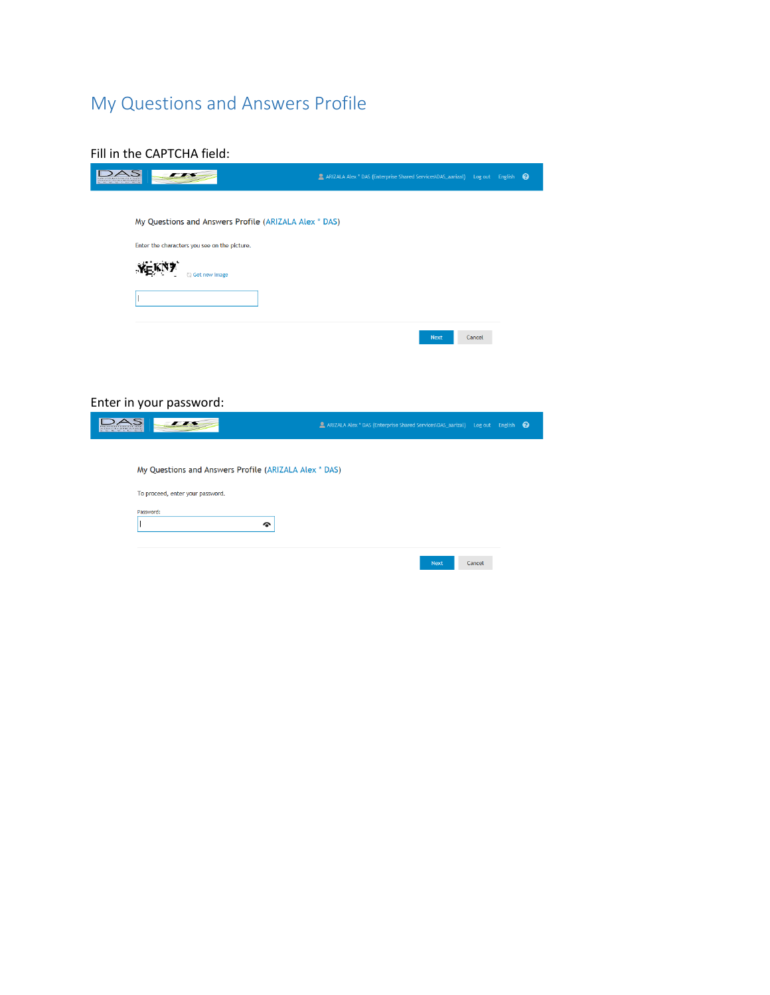# <span id="page-5-0"></span>My Questions and Answers Profile

### Fill in the CAPTCHA field:

|                                                                                                                                   | ARIZALA Alex * DAS (Enterprise Shared Services\DAS_aarizal) Log out English   |
|-----------------------------------------------------------------------------------------------------------------------------------|-------------------------------------------------------------------------------|
| My Questions and Answers Profile (ARIZALA Alex * DAS)<br>Enter the characters you see on the picture.<br><b>C</b> ) Get new image |                                                                               |
|                                                                                                                                   | Cancel<br><b>Next</b>                                                         |
|                                                                                                                                   |                                                                               |
| Enter in your password:                                                                                                           |                                                                               |
|                                                                                                                                   | ARIZALA Alex * DAS (Enterprise Shared Services\DAS_aarizal) Log out English © |
| My Questions and Answers Profile (ARIZALA Alex * DAS)                                                                             |                                                                               |
| To proceed, enter your password.                                                                                                  |                                                                               |
| Password:<br>ଵ                                                                                                                    |                                                                               |
|                                                                                                                                   | <b>Next</b><br>Cancel                                                         |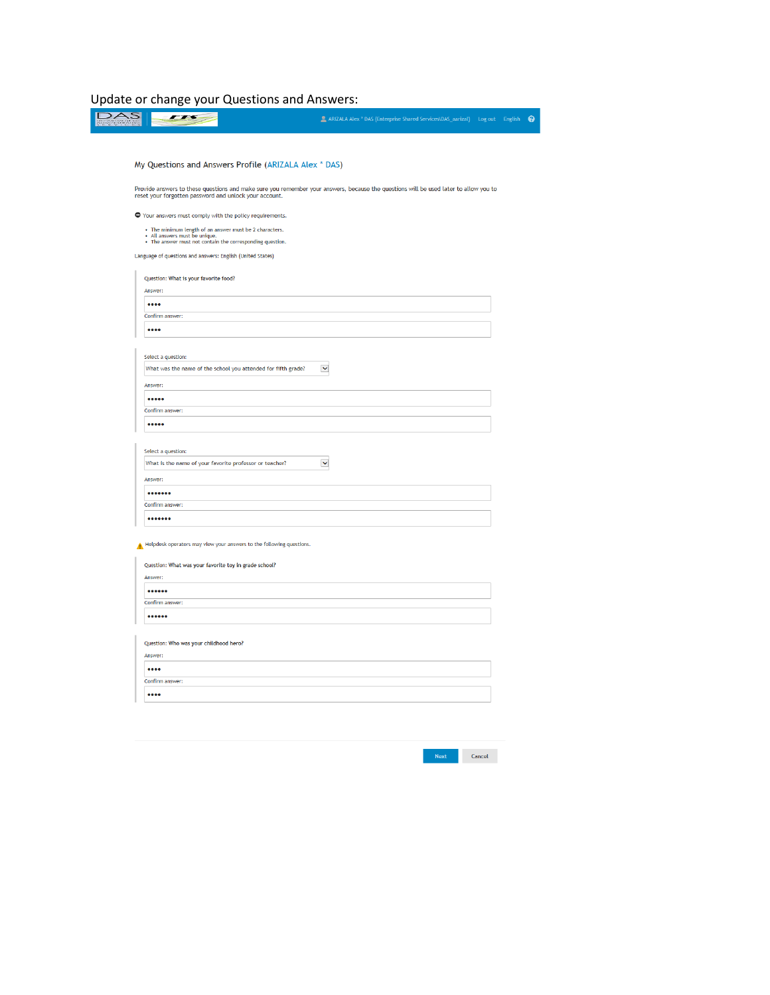# Update or change your Questions and Answers:

| ARIZALA Alex * DAS (Enterprise Shared Services\DAS_aarizal) Log out English @                                                                                                                  |
|------------------------------------------------------------------------------------------------------------------------------------------------------------------------------------------------|
|                                                                                                                                                                                                |
| My Questions and Answers Profile (ARIZALA Alex * DAS)                                                                                                                                          |
| Provide answers to these questions and make sure you remember your answers, because the questions will be used later to allow you to<br>reset your forgotten password and unlock your account. |
| Solvivian Your answers must comply with the policy requirements.                                                                                                                               |
| • The minimum length of an answer must be 2 characters.<br>• All answers must be unique.<br>. The answer must not contain the corresponding question.                                          |
| Language of questions and answers: English (United States)                                                                                                                                     |
| Question: What is your favorite food?                                                                                                                                                          |
| Answer:<br>$\cdots$                                                                                                                                                                            |
| Confirm answer:                                                                                                                                                                                |
| $\bullet\bullet\bullet\bullet$                                                                                                                                                                 |
|                                                                                                                                                                                                |
| Select a question:                                                                                                                                                                             |
| $\checkmark$<br>What was the name of the school you attended for fifth grade?                                                                                                                  |
| Answer:                                                                                                                                                                                        |
| $$<br>Confirm answer:                                                                                                                                                                          |
|                                                                                                                                                                                                |
|                                                                                                                                                                                                |
| Select a question:                                                                                                                                                                             |
| $\checkmark$<br>What is the name of your favorite professor or teacher?                                                                                                                        |
| Answer:                                                                                                                                                                                        |
|                                                                                                                                                                                                |
| Confirm answer:                                                                                                                                                                                |
|                                                                                                                                                                                                |
|                                                                                                                                                                                                |
| Helpdesk operators may view your answers to the following questions.                                                                                                                           |
| Question: What was your favorite toy in grade school?<br>Answer:                                                                                                                               |
|                                                                                                                                                                                                |
| Confirm answer:                                                                                                                                                                                |
|                                                                                                                                                                                                |
| Question: Who was your childhood hero?                                                                                                                                                         |
| Answer:                                                                                                                                                                                        |
| $\cdots$<br>Confirm answer:                                                                                                                                                                    |

**Example 2** Cancel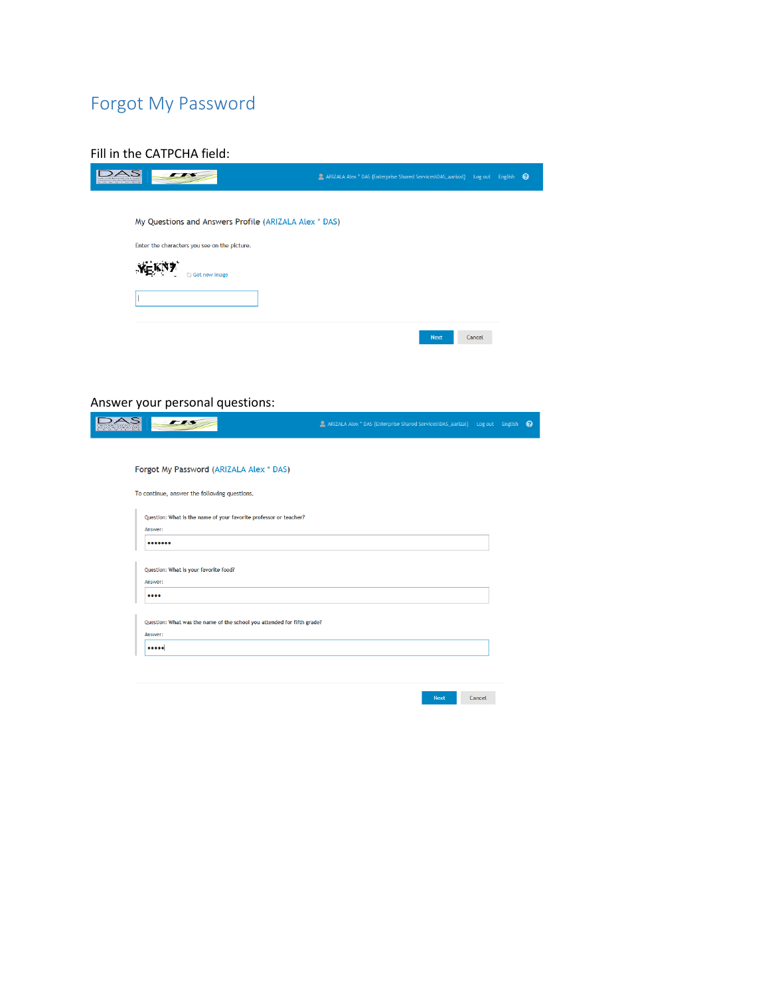# <span id="page-7-0"></span>Forgot My Password

#### Fill in the CATPCHA field:

|                                                                   | My Questions and Answers Profile (ARIZALA Alex * DAS)                       |           |
|-------------------------------------------------------------------|-----------------------------------------------------------------------------|-----------|
| Enter the characters you see on the picture.                      |                                                                             |           |
| <b>YEKNY</b><br>C Get new image                                   |                                                                             |           |
|                                                                   |                                                                             |           |
|                                                                   |                                                                             |           |
|                                                                   | <b>Next</b><br>Cancel                                                       |           |
|                                                                   |                                                                             |           |
|                                                                   |                                                                             |           |
|                                                                   |                                                                             |           |
|                                                                   |                                                                             |           |
| Answer your personal questions:                                   |                                                                             |           |
| ---                                                               | ARIZALA Alex * DAS (Enterprise Shared Services\DAS_aarizal) Log out English | $\bullet$ |
|                                                                   |                                                                             |           |
|                                                                   |                                                                             |           |
| Forgot My Password (ARIZALA Alex * DAS)                           |                                                                             |           |
| To continue, answer the following questions.                      |                                                                             |           |
| Question: What is the name of your favorite professor or teacher? |                                                                             |           |
| Answer:                                                           |                                                                             |           |
|                                                                   |                                                                             |           |
|                                                                   |                                                                             |           |
| Question: What is your favorite food?<br>Answer:                  |                                                                             |           |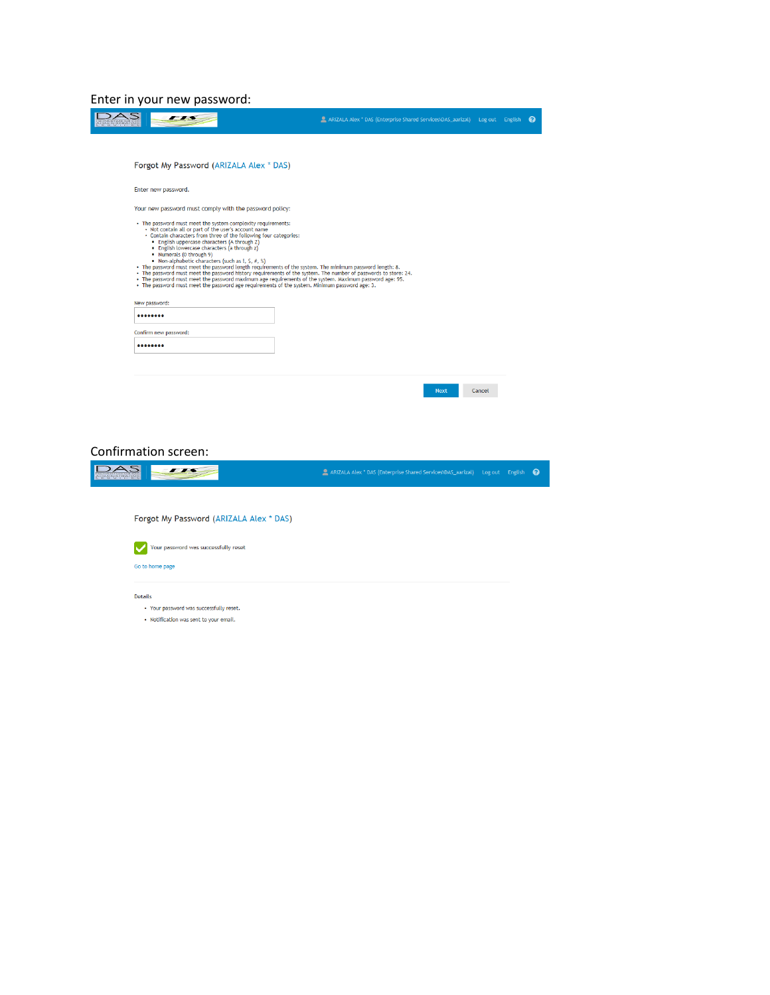Enter in your new password:

|                        |                                                                                                                                                                                                                           | ARIZALA Alex * DAS (Enterprise Shared Services\DAS_aarizal) Log out English                                                                                                                                                                                                                                                                                                                                                              |        | ଵ |
|------------------------|---------------------------------------------------------------------------------------------------------------------------------------------------------------------------------------------------------------------------|------------------------------------------------------------------------------------------------------------------------------------------------------------------------------------------------------------------------------------------------------------------------------------------------------------------------------------------------------------------------------------------------------------------------------------------|--------|---|
|                        |                                                                                                                                                                                                                           |                                                                                                                                                                                                                                                                                                                                                                                                                                          |        |   |
|                        | Forgot My Password (ARIZALA Alex * DAS)                                                                                                                                                                                   |                                                                                                                                                                                                                                                                                                                                                                                                                                          |        |   |
| Enter new password.    |                                                                                                                                                                                                                           |                                                                                                                                                                                                                                                                                                                                                                                                                                          |        |   |
|                        | Your new password must comply with the password policy:<br>• The password must meet the system complexity requirements:                                                                                                   |                                                                                                                                                                                                                                                                                                                                                                                                                                          |        |   |
| Numerals (0 through 9) | · Not contain all or part of the user's account name<br>- Contain characters from three of the following four categories:<br>. English uppercase characters (A through Z)<br>. English lowercase characters (a through z) |                                                                                                                                                                                                                                                                                                                                                                                                                                          |        |   |
|                        | Non-alphabetic characters (such as !, \$, #, %)                                                                                                                                                                           | . The password must meet the password length requirements of the system. The minimum password length: 8.<br>. The password must meet the password history requirements of the system. The number of passwords to store: 24.<br>. The password must meet the password maximum age requirements of the system. Maximum password age: 95.<br>. The password must meet the password age requirements of the system. Minimum password age: 3. |        |   |
| New password:          |                                                                                                                                                                                                                           |                                                                                                                                                                                                                                                                                                                                                                                                                                          |        |   |
|                        |                                                                                                                                                                                                                           |                                                                                                                                                                                                                                                                                                                                                                                                                                          |        |   |
| Confirm new password:  |                                                                                                                                                                                                                           |                                                                                                                                                                                                                                                                                                                                                                                                                                          |        |   |
|                        |                                                                                                                                                                                                                           |                                                                                                                                                                                                                                                                                                                                                                                                                                          |        |   |
|                        |                                                                                                                                                                                                                           |                                                                                                                                                                                                                                                                                                                                                                                                                                          |        |   |
|                        |                                                                                                                                                                                                                           | <b>Next</b>                                                                                                                                                                                                                                                                                                                                                                                                                              | Cancel |   |
|                        |                                                                                                                                                                                                                           |                                                                                                                                                                                                                                                                                                                                                                                                                                          |        |   |
|                        |                                                                                                                                                                                                                           |                                                                                                                                                                                                                                                                                                                                                                                                                                          |        |   |
| Confirmation screen:   |                                                                                                                                                                                                                           |                                                                                                                                                                                                                                                                                                                                                                                                                                          |        |   |
|                        |                                                                                                                                                                                                                           | ARIZALA Alex * DAS (Enterprise Shared Services\DAS_aarizal) Log out English $\bullet$                                                                                                                                                                                                                                                                                                                                                    |        |   |

Forgot My Password (ARIZALA Alex \* DAS)

Your password was successfully reset

#### Go to home page

Details

• Your password was successfully reset.

• Notification was sent to your email.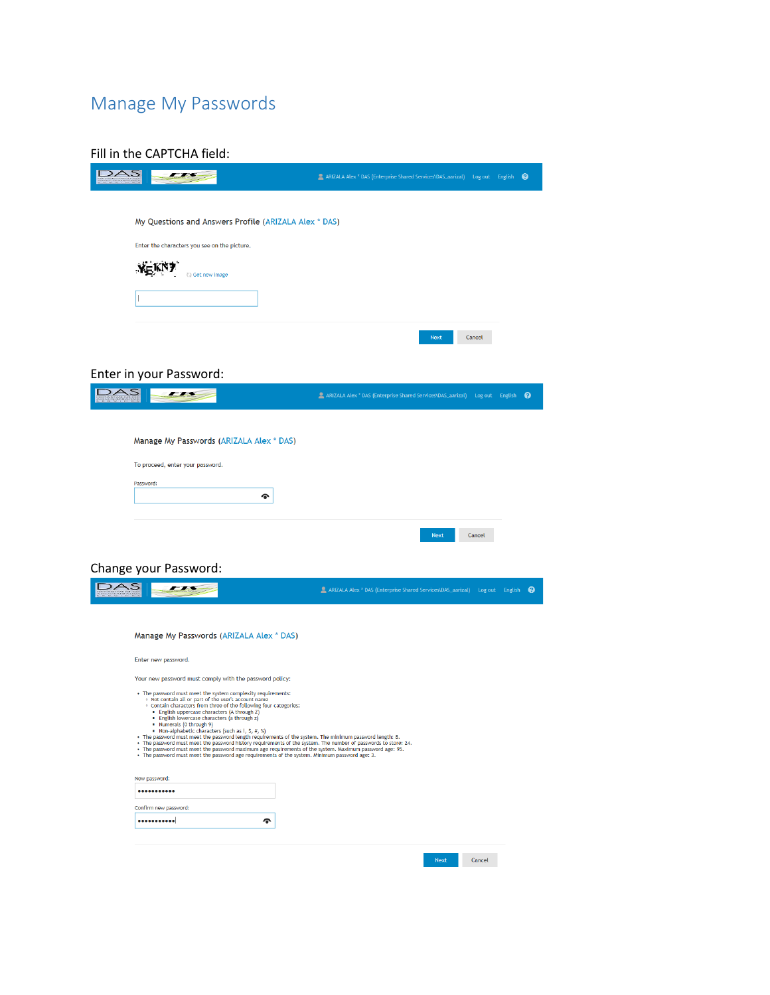# <span id="page-9-0"></span>Manage My Passwords

#### Fill in the CAPTCHA field:

|                                                                                                                                                                                                                                                                                                                                                                                                                                                                                                                                                                                                                                                                                                                                                                                                                | ARIZALA Alex * DAS (Enterprise Shared Services\DAS_aarizal) Log out English<br>❸       |
|----------------------------------------------------------------------------------------------------------------------------------------------------------------------------------------------------------------------------------------------------------------------------------------------------------------------------------------------------------------------------------------------------------------------------------------------------------------------------------------------------------------------------------------------------------------------------------------------------------------------------------------------------------------------------------------------------------------------------------------------------------------------------------------------------------------|----------------------------------------------------------------------------------------|
|                                                                                                                                                                                                                                                                                                                                                                                                                                                                                                                                                                                                                                                                                                                                                                                                                |                                                                                        |
| My Questions and Answers Profile (ARIZALA Alex * DAS)                                                                                                                                                                                                                                                                                                                                                                                                                                                                                                                                                                                                                                                                                                                                                          |                                                                                        |
| Enter the characters you see on the picture.                                                                                                                                                                                                                                                                                                                                                                                                                                                                                                                                                                                                                                                                                                                                                                   |                                                                                        |
| Get new image                                                                                                                                                                                                                                                                                                                                                                                                                                                                                                                                                                                                                                                                                                                                                                                                  |                                                                                        |
|                                                                                                                                                                                                                                                                                                                                                                                                                                                                                                                                                                                                                                                                                                                                                                                                                |                                                                                        |
|                                                                                                                                                                                                                                                                                                                                                                                                                                                                                                                                                                                                                                                                                                                                                                                                                | <b>Next</b><br>Cancel                                                                  |
| Enter in your Password:                                                                                                                                                                                                                                                                                                                                                                                                                                                                                                                                                                                                                                                                                                                                                                                        |                                                                                        |
|                                                                                                                                                                                                                                                                                                                                                                                                                                                                                                                                                                                                                                                                                                                                                                                                                | ARIZALA Alex * DAS (Enterprise Shared Services\DAS_aarizal) Log out English<br>❸       |
|                                                                                                                                                                                                                                                                                                                                                                                                                                                                                                                                                                                                                                                                                                                                                                                                                |                                                                                        |
| Manage My Passwords (ARIZALA Alex * DAS)                                                                                                                                                                                                                                                                                                                                                                                                                                                                                                                                                                                                                                                                                                                                                                       |                                                                                        |
| To proceed, enter your password.                                                                                                                                                                                                                                                                                                                                                                                                                                                                                                                                                                                                                                                                                                                                                                               |                                                                                        |
| Password:                                                                                                                                                                                                                                                                                                                                                                                                                                                                                                                                                                                                                                                                                                                                                                                                      |                                                                                        |
| ଵ                                                                                                                                                                                                                                                                                                                                                                                                                                                                                                                                                                                                                                                                                                                                                                                                              |                                                                                        |
|                                                                                                                                                                                                                                                                                                                                                                                                                                                                                                                                                                                                                                                                                                                                                                                                                |                                                                                        |
|                                                                                                                                                                                                                                                                                                                                                                                                                                                                                                                                                                                                                                                                                                                                                                                                                | Cancel<br><b>Next</b>                                                                  |
| Change your Password:                                                                                                                                                                                                                                                                                                                                                                                                                                                                                                                                                                                                                                                                                                                                                                                          |                                                                                        |
|                                                                                                                                                                                                                                                                                                                                                                                                                                                                                                                                                                                                                                                                                                                                                                                                                | ARIZALA Alex * DAS (Enterprise Shared Services\DAS_aarizal)<br>English<br>❸<br>Log out |
|                                                                                                                                                                                                                                                                                                                                                                                                                                                                                                                                                                                                                                                                                                                                                                                                                |                                                                                        |
| Manage My Passwords (ARIZALA Alex * DAS)                                                                                                                                                                                                                                                                                                                                                                                                                                                                                                                                                                                                                                                                                                                                                                       |                                                                                        |
| Enter new password.                                                                                                                                                                                                                                                                                                                                                                                                                                                                                                                                                                                                                                                                                                                                                                                            |                                                                                        |
| Your new password must comply with the password policy:                                                                                                                                                                                                                                                                                                                                                                                                                                                                                                                                                                                                                                                                                                                                                        |                                                                                        |
| • The password must meet the system complexity requirements:<br>. Not contain all or part of the user's account name<br>. Contain characters from three of the following four categories:<br>. English uppercase characters (A through Z)<br>English lowercase characters (a through z)<br>Numerals (0 through 9)<br>Non-alphabetic characters (such as !, S, #, %)<br>. The password must meet the password length requirements of the system. The minimum password length: 8.<br>. The password must meet the password history requirements of the system. The number of passwords to store: 24.<br>. The password must meet the password maximum age requirements of the system. Maximum password age: 95<br>. The password must meet the password age requirements of the system. Minimum password age: 3. |                                                                                        |
| New password:                                                                                                                                                                                                                                                                                                                                                                                                                                                                                                                                                                                                                                                                                                                                                                                                  |                                                                                        |
|                                                                                                                                                                                                                                                                                                                                                                                                                                                                                                                                                                                                                                                                                                                                                                                                                |                                                                                        |
| Confirm new password:                                                                                                                                                                                                                                                                                                                                                                                                                                                                                                                                                                                                                                                                                                                                                                                          |                                                                                        |
| ଵ<br>                                                                                                                                                                                                                                                                                                                                                                                                                                                                                                                                                                                                                                                                                                                                                                                                          |                                                                                        |
|                                                                                                                                                                                                                                                                                                                                                                                                                                                                                                                                                                                                                                                                                                                                                                                                                | Cancel<br><b>Next</b>                                                                  |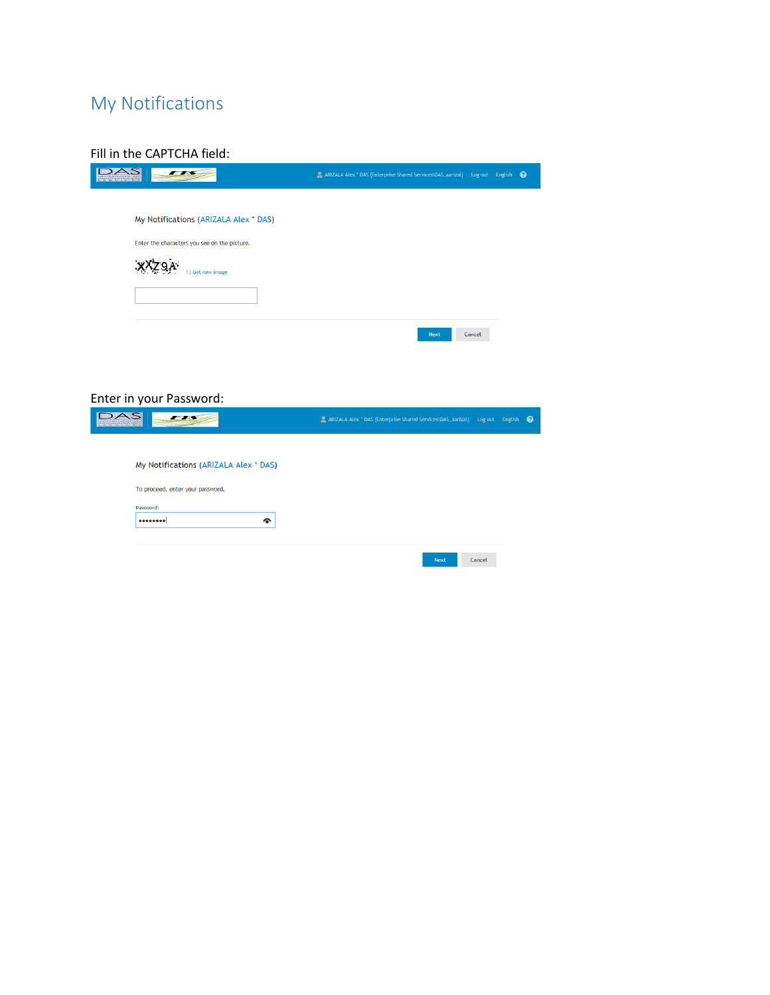# <span id="page-10-0"></span>My Notifications

#### Fill in the CAPTCHA field:

|                                              | ARIZALA Alex * DAS (Enterprise Shared Services\DAS_aarizal) Log out English ©            |
|----------------------------------------------|------------------------------------------------------------------------------------------|
|                                              |                                                                                          |
| My Notifications (ARIZALA Alex * DAS)        |                                                                                          |
| Enter the characters you see on the picture. |                                                                                          |
| C Get new image                              |                                                                                          |
|                                              |                                                                                          |
|                                              | Cancel<br><b>Next</b>                                                                    |
|                                              |                                                                                          |
|                                              |                                                                                          |
| Enter in your Password:                      |                                                                                          |
|                                              | ARIZALA Alex * DAS (Enterprise Shared Services\DAS_aarizal) Log out English <sup>@</sup> |
|                                              |                                                                                          |
| My Notifications (ARIZALA Alex * DAS)        |                                                                                          |
| To proceed, enter your password.             |                                                                                          |
| Password:                                    |                                                                                          |
| <br>$\hat{\mathbf{r}}$                       |                                                                                          |
|                                              |                                                                                          |
|                                              | <b>Next</b><br>Cancel                                                                    |